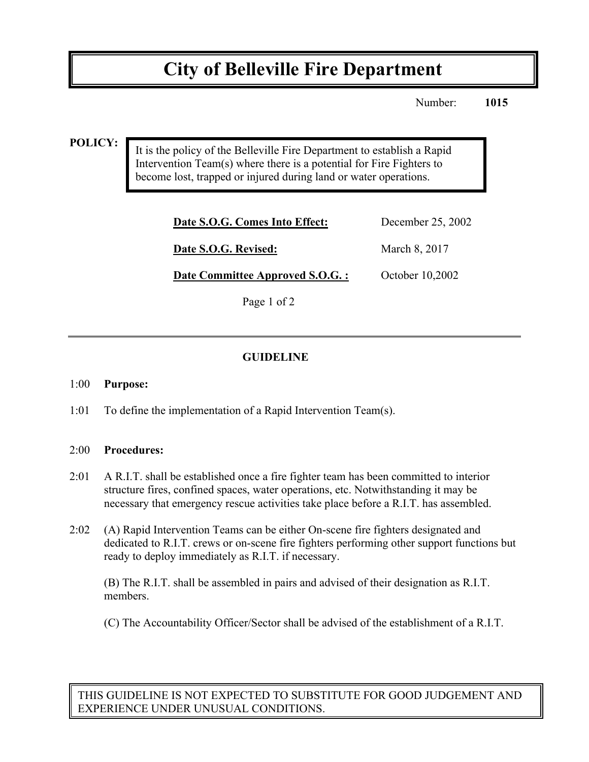# **City of Belleville Fire Department**

Number: **1015**

#### **POLICY:**

It is the policy of the Belleville Fire Department to establish a Rapid Intervention Team(s) where there is a potential for Fire Fighters to become lost, trapped or injured during land or water operations.

| Date S.O.G. Comes Into Effect:   | December 25, 2002 |
|----------------------------------|-------------------|
| Date S.O.G. Revised:             | March 8, 2017     |
| Date Committee Approved S.O.G. : | October 10,2002   |

Page 1 of 2

### **GUIDELINE**

#### 1:00 **Purpose:**

1:01 To define the implementation of a Rapid Intervention Team(s).

#### 2:00 **Procedures:**

- 2:01 A R.I.T. shall be established once a fire fighter team has been committed to interior structure fires, confined spaces, water operations, etc. Notwithstanding it may be necessary that emergency rescue activities take place before a R.I.T. has assembled.
- 2:02 (A) Rapid Intervention Teams can be either On-scene fire fighters designated and dedicated to R.I.T. crews or on-scene fire fighters performing other support functions but ready to deploy immediately as R.I.T. if necessary.

(B) The R.I.T. shall be assembled in pairs and advised of their designation as R.I.T. members.

(C) The Accountability Officer/Sector shall be advised of the establishment of a R.I.T.

THIS GUIDELINE IS NOT EXPECTED TO SUBSTITUTE FOR GOOD JUDGEMENT AND EXPERIENCE UNDER UNUSUAL CONDITIONS.